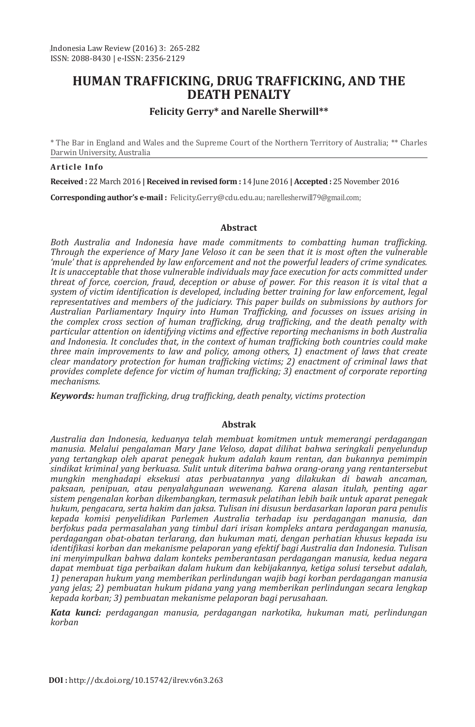# **HUMAN TRAFFICKING, DRUG TRAFFICKING, AND THE DEATH PENALTY**

**Felicity Gerry\* and Narelle Sherwill\*\***

\* The Bar in England and Wales and the Supreme Court of the Northern Territory of Australia; \*\* Charles Darwin University, Australia

#### **Article Info**

**Received :** 22 March 2016 **| Received in revised form :** 14 June 2016 **| Accepted :** 25 November 2016

**Corresponding author's e-mail :** Felicity.Gerry@cdu.edu.au; narellesherwill79@gmail.com;

#### **Abstract**

*Both Australia and Indonesia have made commitments to combatting human trafficking. Through the experience of Mary Jane Veloso it can be seen that it is most often the vulnerable 'mule' that is apprehended by law enforcement and not the powerful leaders of crime syndicates. It is unacceptable that those vulnerable individuals may face execution for acts committed under threat of force, coercion, fraud, deception or abuse of power. For this reason it is vital that a system of victim identification is developed, including better training for law enforcement, legal representatives and members of the judiciary. This paper builds on submissions by authors for Australian Parliamentary Inquiry into Human Trafficking, and focusses on issues arising in the complex cross section of human trafficking, drug trafficking, and the death penalty with particular attention on identifying victims and effective reporting mechanisms in both Australia and Indonesia. It concludes that, in the context of human trafficking both countries could make three main improvements to law and policy, among others, 1) enactment of laws that create clear mandatory protection for human trafficking victims; 2) enactment of criminal laws that provides complete defence for victim of human trafficking; 3) enactment of corporate reporting mechanisms.* 

*Keywords: human trafficking, drug trafficking, death penalty, victims protection*

#### **Abstrak**

*Australia dan Indonesia, keduanya telah membuat komitmen untuk memerangi perdagangan manusia. Melalui pengalaman Mary Jane Veloso, dapat dilihat bahwa seringkali penyelundup yang tertangkap oleh aparat penegak hukum adalah kaum rentan, dan bukannya pemimpin sindikat kriminal yang berkuasa. Sulit untuk diterima bahwa orang-orang yang rentantersebut mungkin menghadapi eksekusi atas perbuatannya yang dilakukan di bawah ancaman, paksaan, penipuan, atau penyalahgunaan wewenang. Karena alasan itulah, penting agar sistem pengenalan korban dikembangkan, termasuk pelatihan lebih baik untuk aparat penegak hukum, pengacara, serta hakim dan jaksa. Tulisan ini disusun berdasarkan laporan para penulis kepada komisi penyelidikan Parlemen Australia terhadap isu perdagangan manusia, dan berfokus pada permasalahan yang timbul dari irisan kompleks antara perdagangan manusia, perdagangan obat-obatan terlarang, dan hukuman mati, dengan perhatian khusus kepada isu identifikasi korban dan mekanisme pelaporan yang efektif bagi Australia dan Indonesia. Tulisan ini menyimpulkan bahwa dalam konteks pemberantasan perdagangan manusia, kedua negara dapat membuat tiga perbaikan dalam hukum dan kebijakannya, ketiga solusi tersebut adalah, 1) penerapan hukum yang memberikan perlindungan wajib bagi korban perdagangan manusia yang jelas; 2) pembuatan hukum pidana yang yang memberikan perlindungan secara lengkap kepada korban; 3) pembuatan mekanisme pelaporan bagi perusahaan.* 

*Kata kunci: perdagangan manusia, perdagangan narkotika, hukuman mati, perlindungan korban*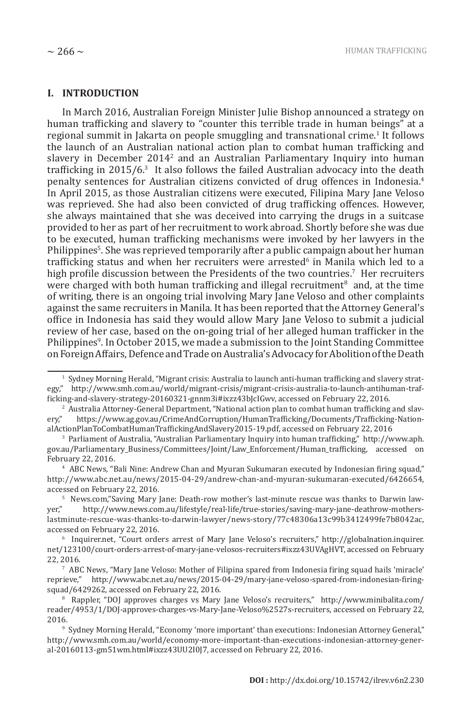#### **I. INTRODUCTION**

In March 2016, Australian Foreign Minister Julie Bishop announced a strategy on human trafficking and slavery to "counter this terrible trade in human beings" at a regional summit in Jakarta on people smuggling and transnational crime.<sup>1</sup> It follows the launch of an Australian national action plan to combat human trafficking and slavery in December 2014<sup>2</sup> and an Australian Parliamentary Inquiry into human trafficking in 2015/6<sup>3</sup> It also follows the failed Australian advocacy into the death penalty sentences for Australian citizens convicted of drug offences in Indonesia.<sup>4</sup> In April 2015, as those Australian citizens were executed, Filipina Mary Jane Veloso was reprieved. She had also been convicted of drug trafficking offences. However, she always maintained that she was deceived into carrying the drugs in a suitcase provided to her as part of her recruitment to work abroad. Shortly before she was due to be executed, human trafficking mechanisms were invoked by her lawyers in the Philippines<sup>5</sup>. She was reprieved temporarily after a public campaign about her human trafficking status and when her recruiters were arrested<sup>6</sup> in Manila which led to a high profile discussion between the Presidents of the two countries.<sup>7</sup> Her recruiters were charged with both human trafficking and illegal recruitment<sup>8</sup> and, at the time of writing, there is an ongoing trial involving Mary Jane Veloso and other complaints against the same recruiters in Manila. It has been reported that the Attorney General's office in Indonesia has said they would allow Mary Jane Veloso to submit a judicial review of her case, based on the on-going trial of her alleged human trafficker in the Philippines<sup>9</sup>. In October 2015, we made a submission to the Joint Standing Committee on Foreign Affairs, Defence and Trade on Australia's Advocacy for Abolition of the Death

<sup>1</sup> Sydney Morning Herald, "Migrant crisis: Australia to launch anti-human trafficking and slavery strategy," http://www.smh.com.au/world/migrant-crisis/migrant-crisis-australia-to-launch-antihuman-trafficking-and-slavery-strategy-20160321-gnnm3i#ixzz43bJcIGwv, accessed on February 22, 2016.

<sup>2</sup> Australia Attorney-General Department, "National action plan to combat human trafficking and slavery," https://www.ag.gov.au/CrimeAndCorruption/HumanTrafficking/Documents/Trafficking-NationalActionPlanToCombatHumanTraffickingAndSlavery2015-19.pdf, accessed on February 22, 2016

<sup>3</sup> Parliament of Australia, "Australian Parliamentary Inquiry into human trafficking," http://www.aph. gov.au/Parliamentary\_Business/Committees/Joint/Law\_Enforcement/Human\_trafficking, accessed on February 22, 2016.

<sup>4</sup> ABC News, "Bali Nine: Andrew Chan and Myuran Sukumaran executed by Indonesian firing squad," http://www.abc.net.au/news/2015-04-29/andrew-chan-and-myuran-sukumaran-executed/6426654, accessed on February 22, 2016.

<sup>5</sup> News.com,"Saving Mary Jane: Death-row mother's last-minute rescue was thanks to Darwin lawyer," http://www.news.com.au/lifestyle/real-life/true-stories/saving-mary-jane-deathrow-motherslastminute-rescue-was-thanks-to-darwin-lawyer/news-story/77c48306a13c99b3412499fe7b8042ac, accessed on February 22, 2016.

<sup>6</sup> Inquirer.net, "Court orders arrest of Mary Jane Veloso's recruiters," http://globalnation.inquirer. net/123100/court-orders-arrest-of-mary-jane-velosos-recruiters#ixzz43UVAgHVT, accessed on February 22, 2016.

<sup>7</sup> ABC News, "Mary Jane Veloso: Mother of Filipina spared from Indonesia firing squad hails 'miracle' reprieve," http://www.abc.net.au/news/2015-04-29/mary-jane-veloso-spared-from-indonesian-firingsquad/6429262, accessed on February 22, 2016.

<sup>8</sup> Rappler, "DOJ approves charges vs Mary Jane Veloso's recruiters," http://www.minibalita.com/ reader/4953/1/DOJ-approves-charges-vs-Mary-Jane-Veloso%2527s-recruiters, accessed on February 22, 2016.

<sup>9</sup> Sydney Morning Herald, "Economy 'more important' than executions: Indonesian Attorney General," http://www.smh.com.au/world/economy-more-important-than-executions-indonesian-attorney-general-20160113-gm51wm.html#ixzz43UU2I0J7, accessed on February 22, 2016.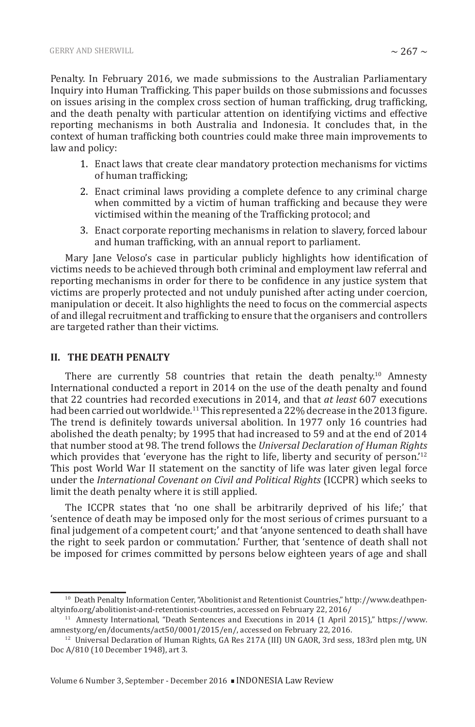Penalty. In February 2016, we made submissions to the Australian Parliamentary Inquiry into Human Trafficking. This paper builds on those submissions and focusses on issues arising in the complex cross section of human trafficking, drug trafficking, and the death penalty with particular attention on identifying victims and effective reporting mechanisms in both Australia and Indonesia. It concludes that, in the context of human trafficking both countries could make three main improvements to law and policy:

- 1. Enact laws that create clear mandatory protection mechanisms for victims of human trafficking;
- 2. Enact criminal laws providing a complete defence to any criminal charge when committed by a victim of human trafficking and because they were victimised within the meaning of the Trafficking protocol; and
- 3. Enact corporate reporting mechanisms in relation to slavery, forced labour and human trafficking, with an annual report to parliament.

Mary Jane Veloso's case in particular publicly highlights how identification of victims needs to be achieved through both criminal and employment law referral and reporting mechanisms in order for there to be confidence in any justice system that victims are properly protected and not unduly punished after acting under coercion, manipulation or deceit. It also highlights the need to focus on the commercial aspects of and illegal recruitment and trafficking to ensure that the organisers and controllers are targeted rather than their victims.

## **II. THE DEATH PENALTY**

There are currently 58 countries that retain the death penalty.<sup>10</sup> Amnesty International conducted a report in 2014 on the use of the death penalty and found that 22 countries had recorded executions in 2014, and that *at least* 607 executions had been carried out worldwide.<sup>11</sup> This represented a 22% decrease in the 2013 figure. The trend is definitely towards universal abolition. In 1977 only 16 countries had abolished the death penalty; by 1995 that had increased to 59 and at the end of 2014 that number stood at 98. The trend follows the *Universal Declaration of Human Rights* which provides that 'everyone has the right to life, liberty and security of person.<sup>'12</sup> This post World War II statement on the sanctity of life was later given legal force under the *International Covenant on Civil and Political Rights* (ICCPR) which seeks to limit the death penalty where it is still applied.

The ICCPR states that 'no one shall be arbitrarily deprived of his life;' that 'sentence of death may be imposed only for the most serious of crimes pursuant to a final judgement of a competent court;' and that 'anyone sentenced to death shall have the right to seek pardon or commutation.' Further, that 'sentence of death shall not be imposed for crimes committed by persons below eighteen years of age and shall

<sup>10</sup> Death Penalty Information Center, "Abolitionist and Retentionist Countries," http://www.deathpenaltyinfo.org/abolitionist-and-retentionist-countries, accessed on February 22, 2016/

<sup>&</sup>lt;sup>11</sup> Amnesty International, "Death Sentences and Executions in 2014 (1 April 2015)," https://www. amnesty.org/en/documents/act50/0001/2015/en/, accessed on February 22, 2016.

<sup>&</sup>lt;sup>12</sup> Universal Declaration of Human Rights, GA Res 217A (III) UN GAOR, 3rd sess, 183rd plen mtg, UN Doc A/810 (10 December 1948), art 3.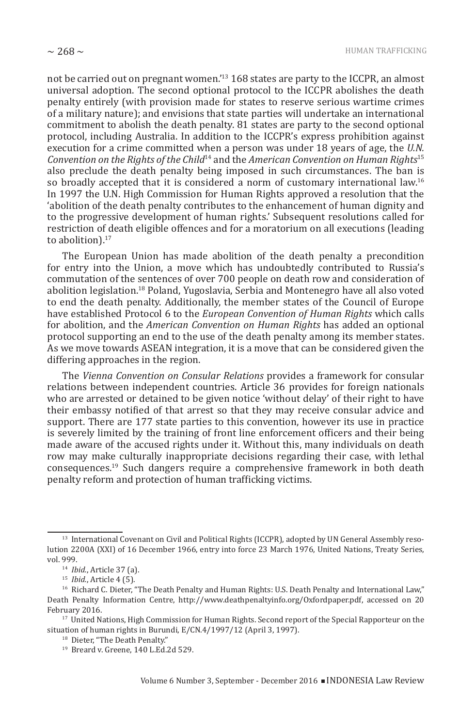not be carried out on pregnant women.'13 168 states are party to the ICCPR, an almost universal adoption. The second optional protocol to the ICCPR abolishes the death penalty entirely (with provision made for states to reserve serious wartime crimes of a military nature); and envisions that state parties will undertake an international commitment to abolish the death penalty. 81 states are party to the second optional protocol, including Australia. In addition to the ICCPR's express prohibition against execution for a crime committed when a person was under 18 years of age, the *U.N. Convention on the Rights of the Child*14 and the *American Convention on Human Rights*<sup>15</sup> also preclude the death penalty being imposed in such circumstances. The ban is so broadly accepted that it is considered a norm of customary international law.<sup>16</sup> In 1997 the U.N. High Commission for Human Rights approved a resolution that the 'abolition of the death penalty contributes to the enhancement of human dignity and to the progressive development of human rights.' Subsequent resolutions called for restriction of death eligible offences and for a moratorium on all executions (leading to abolition).<sup>17</sup>

The European Union has made abolition of the death penalty a precondition for entry into the Union, a move which has undoubtedly contributed to Russia's commutation of the sentences of over 700 people on death row and consideration of abolition legislation.<sup>18</sup> Poland, Yugoslavia, Serbia and Montenegro have all also voted to end the death penalty. Additionally, the member states of the Council of Europe have established Protocol 6 to the *European Convention of Human Rights* which calls for abolition, and the *American Convention on Human Rights* has added an optional protocol supporting an end to the use of the death penalty among its member states. As we move towards ASEAN integration, it is a move that can be considered given the differing approaches in the region.

The *Vienna Convention on Consular Relations* provides a framework for consular relations between independent countries. Article 36 provides for foreign nationals who are arrested or detained to be given notice 'without delay' of their right to have their embassy notified of that arrest so that they may receive consular advice and support. There are 177 state parties to this convention, however its use in practice is severely limited by the training of front line enforcement officers and their being made aware of the accused rights under it. Without this, many individuals on death row may make culturally inappropriate decisions regarding their case, with lethal consequences.19 Such dangers require a comprehensive framework in both death penalty reform and protection of human trafficking victims.

<sup>&</sup>lt;sup>13</sup> International Covenant on Civil and Political Rights (ICCPR), adopted by UN General Assembly resolution 2200A (XXI) of 16 December 1966, entry into force 23 March 1976, United Nations, Treaty Series, vol. 999.

<sup>14</sup> *Ibid.*, Article 37 (a).

<sup>15</sup> *Ibid.*, Article 4 (5).

<sup>&</sup>lt;sup>16</sup> Richard C. Dieter, "The Death Penalty and Human Rights: U.S. Death Penalty and International Law," Death Penalty Information Centre, http://www.deathpenaltyinfo.org/Oxfordpaper.pdf, accessed on 20 February 2016.

<sup>&</sup>lt;sup>17</sup> United Nations, High Commission for Human Rights. Second report of the Special Rapporteur on the situation of human rights in Burundi, E/CN.4/1997/12 (April 3, 1997).

<sup>&</sup>lt;sup>18</sup> Dieter, "The Death Penalty."

<sup>19</sup> Breard v. Greene, 140 L.Ed.2d 529.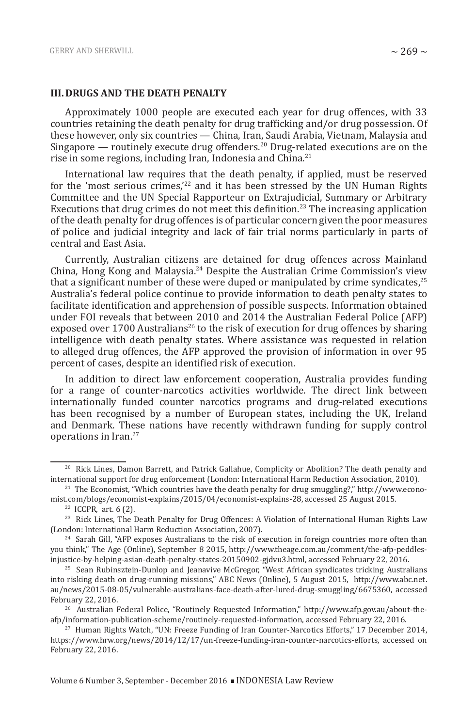Approximately 1000 people are executed each year for drug offences, with 33 countries retaining the death penalty for drug trafficking and/or drug possession. Of these however, only six countries — China, Iran, Saudi Arabia, Vietnam, Malaysia and Singapore — routinely execute drug offenders.<sup>20</sup> Drug-related executions are on the rise in some regions, including Iran, Indonesia and China.<sup>21</sup>

International law requires that the death penalty, if applied, must be reserved for the 'most serious crimes, $i^{22}$  and it has been stressed by the UN Human Rights Committee and the UN Special Rapporteur on Extrajudicial, Summary or Arbitrary Executions that drug crimes do not meet this definition.<sup>23</sup> The increasing application of the death penalty for drug offences is of particular concern given the poor measures of police and judicial integrity and lack of fair trial norms particularly in parts of central and East Asia.

Currently, Australian citizens are detained for drug offences across Mainland China, Hong Kong and Malaysia.24 Despite the Australian Crime Commission's view that a significant number of these were duped or manipulated by crime syndicates,  $2^5$ Australia's federal police continue to provide information to death penalty states to facilitate identification and apprehension of possible suspects. Information obtained under FOI reveals that between 2010 and 2014 the Australian Federal Police (AFP) exposed over 1700 Australians<sup>26</sup> to the risk of execution for drug offences by sharing intelligence with death penalty states. Where assistance was requested in relation to alleged drug offences, the AFP approved the provision of information in over 95 percent of cases, despite an identified risk of execution.

In addition to direct law enforcement cooperation, Australia provides funding for a range of counter-narcotics activities worldwide. The direct link between internationally funded counter narcotics programs and drug-related executions has been recognised by a number of European states, including the UK, Ireland and Denmark. These nations have recently withdrawn funding for supply control operations in Iran.<sup>27</sup>

<sup>&</sup>lt;sup>20</sup> Rick Lines, Damon Barrett, and Patrick Gallahue, Complicity or Abolition? The death penalty and international support for drug enforcement (London: International Harm Reduction Association, 2010).

 $21$  The Economist, "Which countries have the death penalty for drug smuggling?," http://www.economist.com/blogs/economist-explains/2015/04/economist-explains-28, accessed 25 August 2015. 22 ICCPR, art. 6 (2).

<sup>&</sup>lt;sup>23</sup> Rick Lines, The Death Penalty for Drug Offences: A Violation of International Human Rights Law (London: International Harm Reduction Association, 2007).

<sup>&</sup>lt;sup>24</sup> Sarah Gill, "AFP exposes Australians to the risk of execution in foreign countries more often than you think," The Age (Online), September 8 2015, http://www.theage.com.au/comment/the-afp-peddlesinjustice-by-helping-asian-death-penalty-states-20150902-gjdvu3.html, accessed February 22, 2016.

 $25$  Sean Rubinsztein-Dunlop and Jeanavive McGregor, "West African syndicates tricking Australians into risking death on drug-running missions," ABC News (Online), 5 August 2015, http://www.abc.net. au/news/2015-08-05/vulnerable-australians-face-death-after-lured-drug-smuggling/6675360, accessed

<sup>&</sup>lt;sup>26</sup> Australian Federal Police, "Routinely Requested Information," http://www.afp.gov.au/about-theafp/information-publication-scheme/routinely-requested-information, accessed February 22, 2016.

<sup>27</sup> Human Rights Watch, "UN: Freeze Funding of Iran Counter-Narcotics Efforts," 17 December 2014, https://www.hrw.org/news/2014/12/17/un-freeze-funding-iran-counter-narcotics-efforts, accessed on February 22, 2016.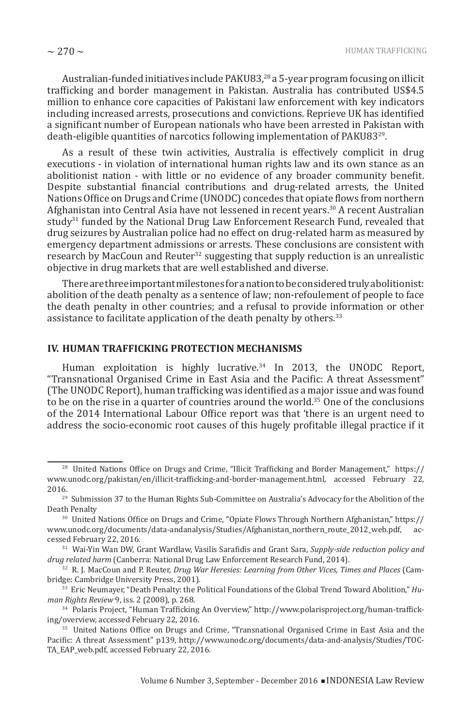Australian-funded initiatives include PAKU83,<sup>28</sup> a 5-year program focusing on illicit trafficking and border management in Pakistan. Australia has contributed US\$4.5 million to enhance core capacities of Pakistani law enforcement with key indicators including increased arrests, prosecutions and convictions. Reprieve UK has identified a significant number of European nationals who have been arrested in Pakistan with death-eligible quantities of narcotics following implementation of PAKU8329.

As a result of these twin activities, Australia is effectively complicit in drug executions - in violation of international human rights law and its own stance as an abolitionist nation - with little or no evidence of any broader community benefit. Despite substantial financial contributions and drug-related arrests, the United Nations Office on Drugs and Crime (UNODC) concedes that opiate flows from northern Afghanistan into Central Asia have not lessened in recent years.30 A recent Australian study<sup>31</sup> funded by the National Drug Law Enforcement Research Fund, revealed that drug seizures by Australian police had no effect on drug-related harm as measured by emergency department admissions or arrests. These conclusions are consistent with research by MacCoun and Reuter<sup>32</sup> suggesting that supply reduction is an unrealistic objective in drug markets that are well established and diverse.

There are three important milestones for a nation to be considered truly abolitionist: abolition of the death penalty as a sentence of law; non-refoulement of people to face the death penalty in other countries; and a refusal to provide information or other assistance to facilitate application of the death penalty by others.<sup>33</sup>

### **IV. HUMAN TRAFFICKING PROTECTION MECHANISMS**

Human exploitation is highly lucrative.<sup>34</sup> In 2013, the UNODC Report, "Transnational Organised Crime in East Asia and the Pacific: A threat Assessment" (The UNODC Report), human trafficking was identified as a major issue and was found to be on the rise in a quarter of countries around the world.<sup>35</sup> One of the conclusions of the 2014 International Labour Office report was that 'there is an urgent need to address the socio-economic root causes of this hugely profitable illegal practice if it

<sup>&</sup>lt;sup>28</sup> United Nations Office on Drugs and Crime, "Illicit Trafficking and Border Management," https:// www.unodc.org/pakistan/en/illicit-trafficking-and-border-management.html, accessed February 22, 2016.

<sup>&</sup>lt;sup>29</sup> Submission 37 to the Human Rights Sub-Committee on Australia's Advocacy for the Abolition of the Death Penalty

<sup>&</sup>lt;sup>30</sup> United Nations Office on Drugs and Crime, "Opiate Flows Through Northern Afghanistan," https://<br>w.unodc.org/documents/data-andanalysis/Studies/Afghanistan northern route 2012 web.pdf. acwww.unodc.org/documents/data-andanalysis/Studies/Afghanistan\_northern\_route\_2012\_web.pdf, accessed February 22, 2016.

<sup>31</sup> Wai-Yin Wan DW, Grant Wardlaw, Vasilis Sarafidis and Grant Sara, *Supply-side reduction policy and drug related harm* (Canberra: National Drug Law Enforcement Research Fund, 2014).

<sup>32</sup> R. J. MacCoun and P. Reuter, *Drug War Heresies: Learning from Other Vices, Times and Places* (Cambridge: Cambridge University Press, 2001).

<sup>&</sup>lt;sup>33</sup> Eric Neumayer, "Death Penalty: the Political Foundations of the Global Trend Toward Abolition," *Human Rights Review* 9, iss. 2 (2008), p. 268.

<sup>&</sup>lt;sup>34</sup> Polaris Project, "Human Trafficking An Overview," http://www.polarisproject.org/human-trafficking/overview, accessed February 22, 2016.

<sup>35</sup> United Nations Office on Drugs and Crime, "Transnational Organised Crime in East Asia and the Pacific: A threat Assessment" p139, http://www.unodc.org/documents/data-and-analysis/Studies/TOC-TA\_EAP\_web.pdf, accessed February 22, 2016.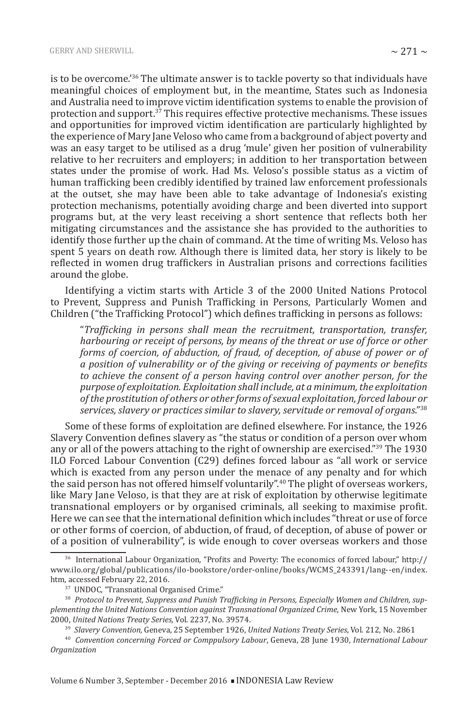is to be overcome.<sup>36</sup> The ultimate answer is to tackle poverty so that individuals have meaningful choices of employment but, in the meantime, States such as Indonesia and Australia need to improve victim identification systems to enable the provision of protection and support. $37$  This requires effective protective mechanisms. These issues and opportunities for improved victim identification are particularly highlighted by the experience of Mary Jane Veloso who came from a background of abject poverty and was an easy target to be utilised as a drug 'mule' given her position of vulnerability relative to her recruiters and employers; in addition to her transportation between states under the promise of work. Had Ms. Veloso's possible status as a victim of human trafficking been credibly identified by trained law enforcement professionals at the outset, she may have been able to take advantage of Indonesia's existing protection mechanisms, potentially avoiding charge and been diverted into support programs but, at the very least receiving a short sentence that reflects both her mitigating circumstances and the assistance she has provided to the authorities to identify those further up the chain of command. At the time of writing Ms. Veloso has spent 5 years on death row. Although there is limited data, her story is likely to be reflected in women drug traffickers in Australian prisons and corrections facilities around the globe.

Identifying a victim starts with Article 3 of the 2000 United Nations Protocol to Prevent, Suppress and Punish Trafficking in Persons, Particularly Women and Children ("the Trafficking Protocol") which defines trafficking in persons as follows:

"*Trafficking in persons shall mean the recruitment, transportation, transfer, harbouring or receipt of persons, by means of the threat or use of force or other forms of coercion, of abduction, of fraud, of deception, of abuse of power or of a position of vulnerability or of the giving or receiving of payments or benefits to achieve the consent of a person having control over another person, for the purpose of exploitation. Exploitation shall include, at a minimum, the exploitation of the prostitution of others or other forms of sexual exploitation, forced labour or services, slavery or practices similar to slavery, servitude or removal of organs*."<sup>38</sup>

Some of these forms of exploitation are defined elsewhere. For instance, the 1926 Slavery Convention defines slavery as "the status or condition of a person over whom any or all of the powers attaching to the right of ownership are exercised."39 The 1930 ILO Forced Labour Convention (C29) defines forced labour as "all work or service which is exacted from any person under the menace of any penalty and for which the said person has not offered himself voluntarily".<sup>40</sup> The plight of overseas workers, like Mary Jane Veloso, is that they are at risk of exploitation by otherwise legitimate transnational employers or by organised criminals, all seeking to maximise profit. Here we can see that the international definition which includes "threat or use of force or other forms of coercion, of abduction, of fraud, of deception, of abuse of power or of a position of vulnerability", is wide enough to cover overseas workers and those

<sup>&</sup>lt;sup>36</sup> International Labour Organization, "Profits and Poverty: The economics of forced labour," http:// www.ilo.org/global/publications/ilo-bookstore/order-online/books/WCMS\_243391/lang--en/index. htm, accessed February 22, 2016.

<sup>37</sup> UNDOC, "Transnational Organised Crime."

<sup>38</sup> *Protocol to Prevent, Suppress and Punish Trafficking in Persons, Especially Women and Children, supplementing the United Nations Convention against Transnational Organized Crime*, New York, 15 November

<sup>2000,</sup> *United Nations Treaty Series,* Vol. 2237, No. 39574. 39 *Slavery Convention,* Geneva, 25 September 1926, *United Nations Treaty Series*, Vol. 212, No. 2861

<sup>40</sup> *Convention concerning Forced or Comppulsory Labour*, Geneva, 28 June 1930, *International Labour Organization*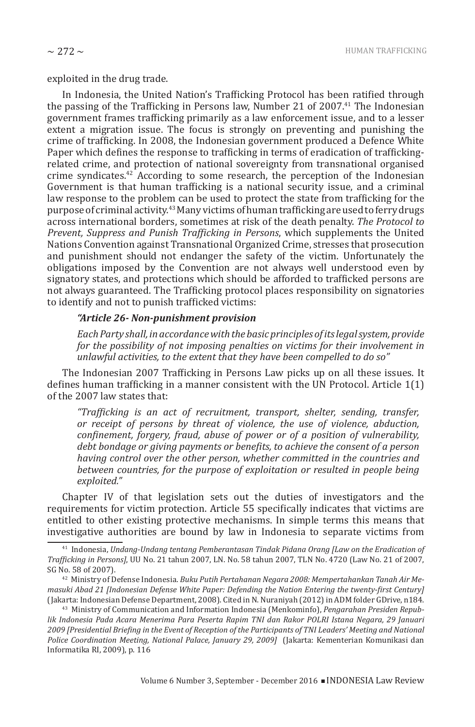exploited in the drug trade.

In Indonesia, the United Nation's Trafficking Protocol has been ratified through the passing of the Trafficking in Persons law, Number 21 of 2007.<sup>41</sup> The Indonesian government frames trafficking primarily as a law enforcement issue, and to a lesser extent a migration issue. The focus is strongly on preventing and punishing the crime of trafficking. In 2008, the Indonesian government produced a Defence White Paper which defines the response to trafficking in terms of eradication of traffickingrelated crime, and protection of national sovereignty from transnational organised crime syndicates. $42$  According to some research, the perception of the Indonesian Government is that human trafficking is a national security issue, and a criminal law response to the problem can be used to protect the state from trafficking for the purpose of criminal activity.<sup>43</sup> Many victims of human trafficking are used to ferry drugs across international borders, sometimes at risk of the death penalty. *The Protocol to Prevent, Suppress and Punish Trafficking in Persons*, which supplements the United Nations Convention against Transnational Organized Crime, stresses that prosecution and punishment should not endanger the safety of the victim. Unfortunately the obligations imposed by the Convention are not always well understood even by signatory states, and protections which should be afforded to trafficked persons are not always guaranteed. The Trafficking protocol places responsibility on signatories to identify and not to punish trafficked victims:

# *"Article 26- Non-punishment provision*

*Each Party shall, in accordance with the basic principles of its legal system, provide for the possibility of not imposing penalties on victims for their involvement in unlawful activities, to the extent that they have been compelled to do so"*

The Indonesian 2007 Trafficking in Persons Law picks up on all these issues. It defines human trafficking in a manner consistent with the UN Protocol. Article 1(1) of the 2007 law states that:

*"Trafficking is an act of recruitment, transport, shelter, sending, transfer, or receipt of persons by threat of violence, the use of violence, abduction, confinement, forgery, fraud, abuse of power or of a position of vulnerability, debt bondage or giving payments or benefits, to achieve the consent of a person having control over the other person, whether committed in the countries and between countries, for the purpose of exploitation or resulted in people being exploited."*

Chapter IV of that legislation sets out the duties of investigators and the requirements for victim protection. Article 55 specifically indicates that victims are entitled to other existing protective mechanisms. In simple terms this means that investigative authorities are bound by law in Indonesia to separate victims from

<sup>41</sup> Indonesia, *Undang-Undang tentang Pemberantasan Tindak Pidana Orang [Law on the Eradication of Trafficking in Persons]*, UU No. 21 tahun 2007, LN. No. 58 tahun 2007, TLN No. 4720 (Law No. 21 of 2007, SG No. 58 of 2007).

<sup>42</sup> Ministry of Defense Indonesia. *Buku Putih Pertahanan Negara 2008: Mempertahankan Tanah Air Memasuki Abad 21 [Indonesian Defense White Paper: Defending the Nation Entering the twenty-first Century]* (Jakarta: Indonesian Defense Department, 2008). Cited in N. Nuraniyah (2012) in ADM folder GDrive, n184.

<sup>43</sup> Ministry of Communication and Information Indonesia (Menkominfo), *Pengarahan Presiden Republik Indonesia Pada Acara Menerima Para Peserta Rapim TNI dan Rakor POLRI Istana Negara, 29 Januari 2009 [Presidential Briefing in the Event of Reception of the Participants of TNI Leaders' Meeting and National Police Coordination Meeting, National Palace, January 29, 2009]* (Jakarta: Kementerian Komunikasi dan Informatika RI, 2009), p. 116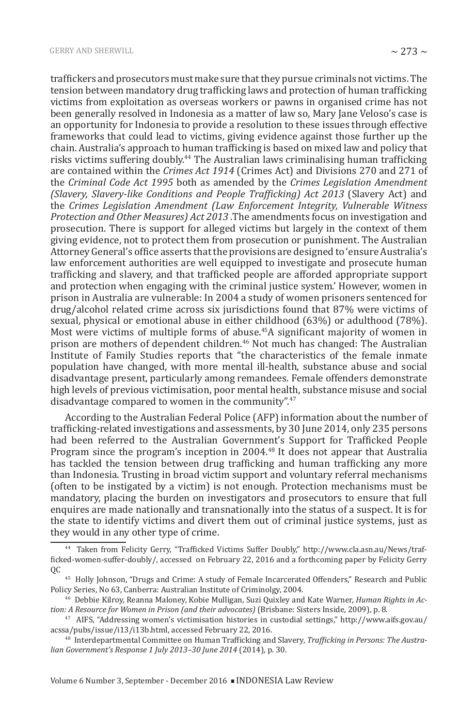traffickers and prosecutors must make sure that they pursue criminals not victims. The tension between mandatory drug trafficking laws and protection of human trafficking victims from exploitation as overseas workers or pawns in organised crime has not been generally resolved in Indonesia as a matter of law so, Mary Jane Veloso's case is an opportunity for Indonesia to provide a resolution to these issues through effective frameworks that could lead to victims, giving evidence against those further up the chain. Australia's approach to human trafficking is based on mixed law and policy that risks victims suffering doubly.<sup>44</sup> The Australian laws criminalising human trafficking are contained within the *Crimes Act 1914* (Crimes Act) and Divisions 270 and 271 of the *Criminal Code Act 1995* both as amended by the *Crimes Legislation Amendment (Slavery, Slavery-like Conditions and People Trafficking) Act 2013* (Slavery Act) and the *Crimes Legislation Amendment (Law Enforcement Integrity, Vulnerable Witness Protection and Other Measures) Act 2013* .The amendments focus on investigation and prosecution. There is support for alleged victims but largely in the context of them giving evidence, not to protect them from prosecution or punishment. The Australian Attorney General's office asserts that the provisions are designed to 'ensure Australia's law enforcement authorities are well equipped to investigate and prosecute human trafficking and slavery, and that trafficked people are afforded appropriate support and protection when engaging with the criminal justice system.' However, women in prison in Australia are vulnerable: In 2004 a study of women prisoners sentenced for drug/alcohol related crime across six jurisdictions found that 87% were victims of sexual, physical or emotional abuse in either childhood (63%) or adulthood (78%). Most were victims of multiple forms of abuse.<sup>45</sup>A significant majority of women in prison are mothers of dependent children.46 Not much has changed: The Australian Institute of Family Studies reports that "the characteristics of the female inmate population have changed, with more mental ill-health, substance abuse and social disadvantage present, particularly among remandees. Female offenders demonstrate high levels of previous victimisation, poor mental health, substance misuse and social disadvantage compared to women in the community".<sup>47</sup>

According to the Australian Federal Police (AFP) information about the number of trafficking-related investigations and assessments, by 30 June 2014, only 235 persons had been referred to the Australian Government's Support for Trafficked People Program since the program's inception in 2004.<sup>48</sup> It does not appear that Australia has tackled the tension between drug trafficking and human trafficking any more than Indonesia. Trusting in broad victim support and voluntary referral mechanisms (often to be instigated by a victim) is not enough. Protection mechanisms must be mandatory, placing the burden on investigators and prosecutors to ensure that full enquires are made nationally and transnationally into the status of a suspect. It is for the state to identify victims and divert them out of criminal justice systems, just as they would in any other type of crime.

Volume 6 Number 3, September - December 2016 INDONESIA Law Review

<sup>44</sup> Taken from Felicity Gerry, "Trafficked Victims Suffer Doubly," http://www.cla.asn.au/News/trafficked-women-suffer-doubly/, accessed on February 22, 2016 and a forthcoming paper by Felicity Gerry QC

<sup>&</sup>lt;sup>45</sup> Holly Johnson, "Drugs and Crime: A study of Female Incarcerated Offenders," Research and Public Policy Series, No 63, Canberra: Australian Institute of Criminolgy, 2004.

<sup>46</sup> Debbie Kilroy, Reanna Maloney, Kobie Mulligan, Suzi Quixley and Kate Warner, *Human Rights in Action: A Resource for Women in Prison (and their advocates)* (Brisbane: Sisters Inside, 2009), p. 8.

<sup>47</sup> AIFS, "Addressing women's victimisation histories in custodial settings," http://www.aifs.gov.au/ acssa/pubs/issue/i13/i13b.html, accessed February 22, 2016.

<sup>48</sup> Interdepartmental Committee on Human Trafficking and Slavery, *Trafficking in Persons: The Australian Government's Response 1 July 2013–30 June 2014* (2014), p. 30.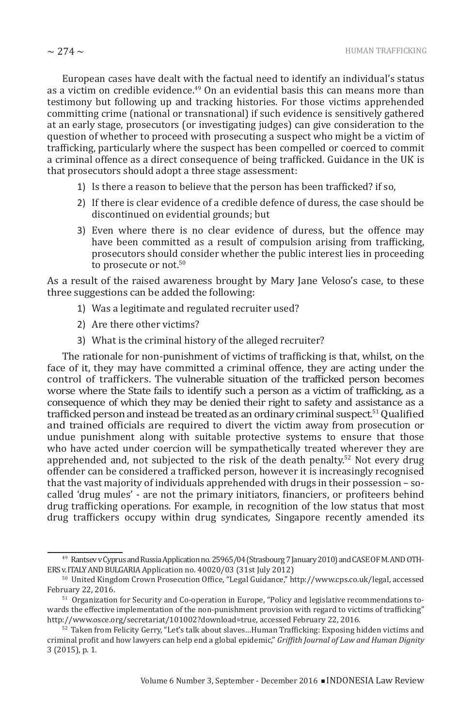European cases have dealt with the factual need to identify an individual's status as a victim on credible evidence.<sup>49</sup> On an evidential basis this can means more than testimony but following up and tracking histories. For those victims apprehended committing crime (national or transnational) if such evidence is sensitively gathered at an early stage, prosecutors (or investigating judges) can give consideration to the question of whether to proceed with prosecuting a suspect who might be a victim of trafficking, particularly where the suspect has been compelled or coerced to commit a criminal offence as a direct consequence of being trafficked. Guidance in the UK is that prosecutors should adopt a three stage assessment:

- 1) Is there a reason to believe that the person has been trafficked? if so,
- 2) If there is clear evidence of a credible defence of duress, the case should be discontinued on evidential grounds; but
- 3) Even where there is no clear evidence of duress, but the offence may have been committed as a result of compulsion arising from trafficking, prosecutors should consider whether the public interest lies in proceeding to prosecute or not.<sup>50</sup>

As a result of the raised awareness brought by Mary Jane Veloso's case, to these three suggestions can be added the following:

- 1) Was a legitimate and regulated recruiter used?
- 2) Are there other victims?
- 3) What is the criminal history of the alleged recruiter?

The rationale for non-punishment of victims of trafficking is that, whilst, on the face of it, they may have committed a criminal offence, they are acting under the control of traffickers. The vulnerable situation of the trafficked person becomes worse where the State fails to identify such a person as a victim of trafficking, as a consequence of which they may be denied their right to safety and assistance as a trafficked person and instead be treated as an ordinary criminal suspect.<sup>51</sup> Qualified and trained officials are required to divert the victim away from prosecution or undue punishment along with suitable protective systems to ensure that those who have acted under coercion will be sympathetically treated wherever they are apprehended and, not subjected to the risk of the death penalty.<sup>52</sup> Not every drug offender can be considered a trafficked person, however it is increasingly recognised that the vast majority of individuals apprehended with drugs in their possession – socalled 'drug mules' - are not the primary initiators, financiers, or profiteers behind drug trafficking operations. For example, in recognition of the low status that most drug traffickers occupy within drug syndicates, Singapore recently amended its

<sup>49</sup> Rantsev v Cyprus and Russia Application no. 25965/04 (Strasbourg 7 January 2010) and CASE OF M. AND OTH-ERS v. ITALY AND BULGARIA Application no. 40020/03 (31st July 2012)

<sup>50</sup> United Kingdom Crown Prosecution Office, "Legal Guidance," http://www.cps.co.uk/legal, accessed February 22, 2016.

<sup>&</sup>lt;sup>51</sup> Organization for Security and Co-operation in Europe, "Policy and legislative recommendations towards the effective implementation of the non-punishment provision with regard to victims of trafficking" http://www.osce.org/secretariat/101002?download=true, accessed February 22, 2016.

 $52$  Taken from Felicity Gerry, "Let's talk about slaves...Human Trafficking: Exposing hidden victims and criminal profit and how lawyers can help end a global epidemic," *Griffith Journal of Law and Human Dignity* 3 (2015), p. 1.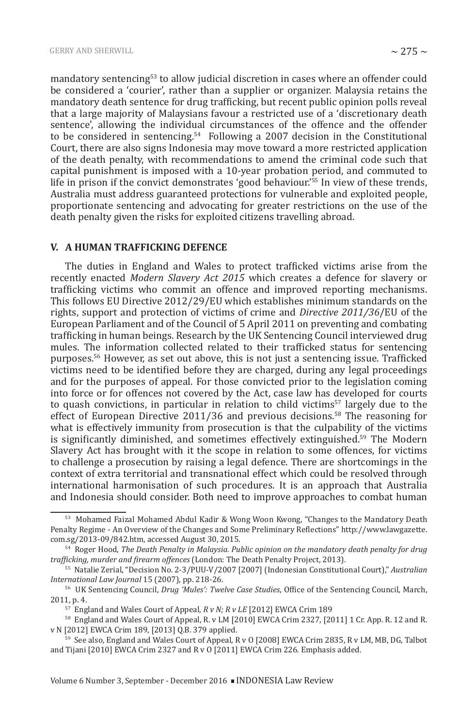mandatory sentencing<sup>53</sup> to allow judicial discretion in cases where an offender could be considered a 'courier', rather than a supplier or organizer. Malaysia retains the mandatory death sentence for drug trafficking, but recent public opinion polls reveal that a large majority of Malaysians favour a restricted use of a 'discretionary death sentence', allowing the individual circumstances of the offence and the offender to be considered in sentencing.<sup>54</sup> Following a 2007 decision in the Constitutional Court, there are also signs Indonesia may move toward a more restricted application of the death penalty, with recommendations to amend the criminal code such that capital punishment is imposed with a 10-year probation period, and commuted to life in prison if the convict demonstrates 'good behaviour.'<sup>55</sup> In view of these trends, Australia must address guaranteed protections for vulnerable and exploited people, proportionate sentencing and advocating for greater restrictions on the use of the death penalty given the risks for exploited citizens travelling abroad.

#### **V. A HUMAN TRAFFICKING DEFENCE**

The duties in England and Wales to protect trafficked victims arise from the recently enacted *Modern Slavery Act 2015* which creates a defence for slavery or trafficking victims who commit an offence and improved reporting mechanisms. This follows EU Directive 2012/29/EU which establishes minimum standards on the rights, support and protection of victims of crime and *Directive 2011/36*/EU of the European Parliament and of the Council of 5 April 2011 on preventing and combating trafficking in human beings. Research by the UK Sentencing Council interviewed drug mules. The information collected related to their trafficked status for sentencing purposes.56 However, as set out above, this is not just a sentencing issue. Trafficked victims need to be identified before they are charged, during any legal proceedings and for the purposes of appeal. For those convicted prior to the legislation coming into force or for offences not covered by the Act, case law has developed for courts to quash convictions, in particular in relation to child victims<sup>57</sup> largely due to the effect of European Directive 2011/36 and previous decisions.58 The reasoning for what is effectively immunity from prosecution is that the culpability of the victims is significantly diminished, and sometimes effectively extinguished.<sup>59</sup> The Modern Slavery Act has brought with it the scope in relation to some offences, for victims to challenge a prosecution by raising a legal defence. There are shortcomings in the context of extra territorial and transnational effect which could be resolved through international harmonisation of such procedures. It is an approach that Australia and Indonesia should consider. Both need to improve approaches to combat human

<sup>53</sup> Mohamed Faizal Mohamed Abdul Kadir & Wong Woon Kwong, "Changes to the Mandatory Death Penalty Regime - An Overview of the Changes and Some Preliminary Reflections" http://www.lawgazette. com.sg/2013-09/842.htm, accessed August 30, 2015.

<sup>54</sup> Roger Hood, *The Death Penalty in Malaysia. Public opinion on the mandatory death penalty for drug trafficking, murder and firearm offences* (London: The Death Penalty Project, 2013).

<sup>55</sup> Natalie Zerial, "Decision No. 2-3/PUU-V/2007 [2007] (Indonesian Constitutional Court)," *Australian* 

<sup>&</sup>lt;sup>56</sup> UK Sentencing Council, *Drug 'Mules': Twelve Case Studies*, Office of the Sentencing Council, March, 2011, p. 4.

<sup>57</sup> England and Wales Court of Appeal, *R v N; R v LE* [2012] EWCA Crim 189

<sup>58</sup> England and Wales Court of Appeal, R. v LM [2010] EWCA Crim 2327, [2011] 1 Cr. App. R. 12 and R. v N [2012] EWCA Crim 189, [2013] Q.B. 379 applied.

<sup>59</sup> See also, England and Wales Court of Appeal, R v O [2008] EWCA Crim 2835, R v LM, MB, DG, Talbot and Tijani [2010] EWCA Crim 2327 and R v O [2011] EWCA Crim 226. Emphasis added.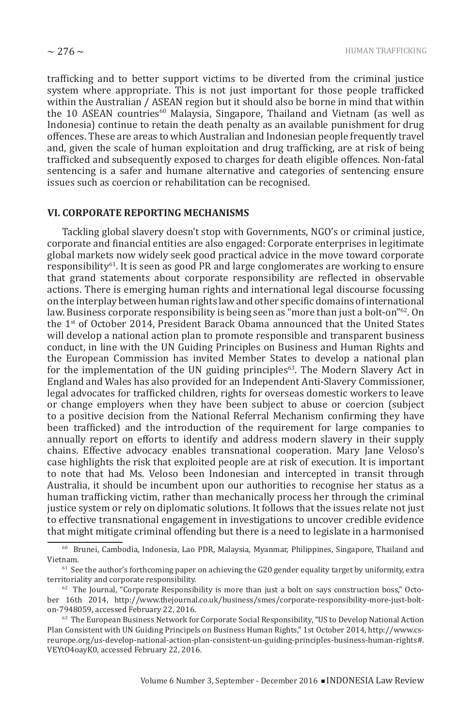trafficking and to better support victims to be diverted from the criminal justice system where appropriate. This is not just important for those people trafficked within the Australian / ASEAN region but it should also be borne in mind that within the 10 ASEAN countries<sup>60</sup> Malaysia, Singapore, Thailand and Vietnam (as well as Indonesia) continue to retain the death penalty as an available punishment for drug offences. These are areas to which Australian and Indonesian people frequently travel and, given the scale of human exploitation and drug trafficking, are at risk of being trafficked and subsequently exposed to charges for death eligible offences. Non-fatal sentencing is a safer and humane alternative and categories of sentencing ensure issues such as coercion or rehabilitation can be recognised.

#### **VI. CORPORATE REPORTING MECHANISMS**

Tackling global slavery doesn't stop with Governments, NGO's or criminal justice, corporate and financial entities are also engaged: Corporate enterprises in legitimate global markets now widely seek good practical advice in the move toward corporate responsibility61. It is seen as good PR and large conglomerates are working to ensure that grand statements about corporate responsibility are reflected in observable actions. There is emerging human rights and international legal discourse focussing on the interplay between human rights law and other specific domains of international law. Business corporate responsibility is being seen as "more than just a bolt-on"<sup>62</sup>. On the 1st of October 2014, President Barack Obama announced that the United States will develop a national action plan to promote responsible and transparent business conduct, in line with the UN Guiding Principles on Business and Human Rights and the European Commission has invited Member States to develop a national plan for the implementation of the UN guiding principles<sup>63</sup>. The Modern Slavery Act in England and Wales has also provided for an Independent Anti-Slavery Commissioner, legal advocates for trafficked children, rights for overseas domestic workers to leave or change employers when they have been subject to abuse or coercion (subject to a positive decision from the National Referral Mechanism confirming they have been trafficked) and the introduction of the requirement for large companies to annually report on efforts to identify and address modern slavery in their supply chains. Effective advocacy enables transnational cooperation. Mary Jane Veloso's case highlights the risk that exploited people are at risk of execution. It is important to note that had Ms. Veloso been Indonesian and intercepted in transit through Australia, it should be incumbent upon our authorities to recognise her status as a human trafficking victim, rather than mechanically process her through the criminal justice system or rely on diplomatic solutions. It follows that the issues relate not just to effective transnational engagement in investigations to uncover credible evidence that might mitigate criminal offending but there is a need to legislate in a harmonised

<sup>60</sup> Brunei, Cambodia, Indonesia, Lao PDR, Malaysia, Myanmar, Philippines, Singapore, Thailand and Vietnam.

 $<sup>61</sup>$  See the author's forthcoming paper on achieving the G20 gender equality target by uniformity, extra</sup> territoriality and corporate responsibility.

 $62$  The Journal, "Corporate Responsibility is more than just a bolt on says construction boss," October 16th 2014, http://www.thejournal.co.uk/business/smes/corporate-responsibility-more-just-bolton-7948059, accessed February 22, 2016.

<sup>&</sup>lt;sup>63</sup> The European Business Network for Corporate Social Responsibility, "US to Develop National Action Plan Consistent with UN Guiding Principels on Business Human Rights," 1st October 2014, http://www.csreurope.org/us-develop-national-action-plan-consistent-un-guiding-principles-business-human-rights#. VEYtO4oayK0, accessed February 22, 2016.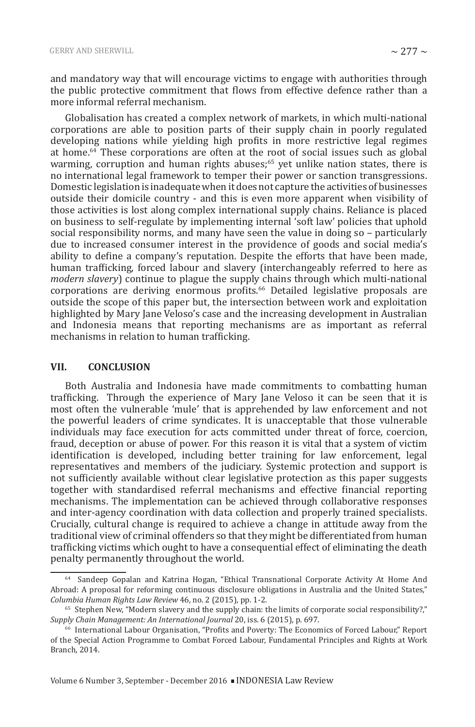and mandatory way that will encourage victims to engage with authorities through the public protective commitment that flows from effective defence rather than a more informal referral mechanism.

Globalisation has created a complex network of markets, in which multi-national corporations are able to position parts of their supply chain in poorly regulated developing nations while yielding high profits in more restrictive legal regimes at home.64 These corporations are often at the root of social issues such as global warming, corruption and human rights abuses;<sup>65</sup> yet unlike nation states, there is no international legal framework to temper their power or sanction transgressions. Domestic legislation is inadequate when it does not capture the activities of businesses outside their domicile country - and this is even more apparent when visibility of those activities is lost along complex international supply chains. Reliance is placed on business to self-regulate by implementing internal 'soft law' policies that uphold social responsibility norms, and many have seen the value in doing so – particularly due to increased consumer interest in the providence of goods and social media's ability to define a company's reputation. Despite the efforts that have been made, human trafficking, forced labour and slavery (interchangeably referred to here as *modern slavery*) continue to plague the supply chains through which multi-national corporations are deriving enormous profits.<sup>66</sup> Detailed legislative proposals are outside the scope of this paper but, the intersection between work and exploitation highlighted by Mary Jane Veloso's case and the increasing development in Australian and Indonesia means that reporting mechanisms are as important as referral mechanisms in relation to human trafficking.

### **VII. CONCLUSION**

Both Australia and Indonesia have made commitments to combatting human trafficking. Through the experience of Mary Jane Veloso it can be seen that it is most often the vulnerable 'mule' that is apprehended by law enforcement and not the powerful leaders of crime syndicates. It is unacceptable that those vulnerable individuals may face execution for acts committed under threat of force, coercion, fraud, deception or abuse of power. For this reason it is vital that a system of victim identification is developed, including better training for law enforcement, legal representatives and members of the judiciary. Systemic protection and support is not sufficiently available without clear legislative protection as this paper suggests together with standardised referral mechanisms and effective financial reporting mechanisms. The implementation can be achieved through collaborative responses and inter-agency coordination with data collection and properly trained specialists. Crucially, cultural change is required to achieve a change in attitude away from the traditional view of criminal offenders so that they might be differentiated from human trafficking victims which ought to have a consequential effect of eliminating the death penalty permanently throughout the world.

<sup>64</sup> Sandeep Gopalan and Katrina Hogan, "Ethical Transnational Corporate Activity At Home And Abroad: A proposal for reforming continuous disclosure obligations in Australia and the United States,"<br>Columbia Human Rights Law Review 46, no. 2 (2015), pp. 1-2.

<sup>&</sup>lt;sup>65</sup> Stephen New, "Modern slavery and the supply chain: the limits of corporate social responsibility?,"<br>Supply Chain Management: An International Journal 20, iss. 6 (2015), p. 697.

<sup>&</sup>lt;sup>66</sup> International Labour Organisation, "Profits and Poverty: The Economics of Forced Labour," Report of the Special Action Programme to Combat Forced Labour, Fundamental Principles and Rights at Work Branch, 2014.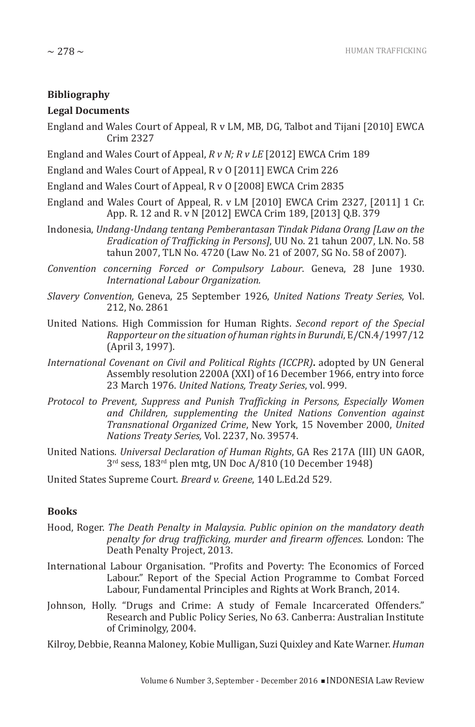# **Bibliography**

# **Legal Documents**

- England and Wales Court of Appeal, R v LM, MB, DG, Talbot and Tijani [2010] EWCA Crim 2327
- England and Wales Court of Appeal, *R v N; R v LE* [2012] EWCA Crim 189
- England and Wales Court of Appeal, R v O [2011] EWCA Crim 226
- England and Wales Court of Appeal, R v O [2008] EWCA Crim 2835
- England and Wales Court of Appeal, R. v LM [2010] EWCA Crim 2327, [2011] 1 Cr. App. R. 12 and R. v N [2012] EWCA Crim 189, [2013] Q.B. 379
- Indonesia, *Undang-Undang tentang Pemberantasan Tindak Pidana Orang [Law on the Eradication of Trafficking in Persons]*, UU No. 21 tahun 2007, LN. No. 58 tahun 2007, TLN No. 4720 (Law No. 21 of 2007, SG No. 58 of 2007).
- *Convention concerning Forced or Compulsory Labour*. Geneva, 28 June 1930. *International Labour Organization.*
- *Slavery Convention,* Geneva, 25 September 1926, *United Nations Treaty Series*, Vol. 212, No. 2861
- United Nations. High Commission for Human Rights. *Second report of the Special Rapporteur on the situation of human rights in Burundi*, E/CN.4/1997/12 (April 3, 1997).
- *International Covenant on Civil and Political Rights (ICCPR)***.** adopted by UN General Assembly resolution 2200A (XXI) of 16 December 1966, entry into force 23 March 1976. *United Nations, Treaty Series*, vol. 999.
- *Protocol to Prevent, Suppress and Punish Trafficking in Persons, Especially Women and Children, supplementing the United Nations Convention against Transnational Organized Crime*, New York, 15 November 2000, *United Nations Treaty Series,* Vol. 2237, No. 39574.
- United Nations*. Universal Declaration of Human Rights*, GA Res 217A (III) UN GAOR, 3rd sess, 183rd plen mtg, UN Doc A/810 (10 December 1948)

United States Supreme Court. *Breard v. Greene*, 140 L.Ed.2d 529.

# **Books**

- Hood, Roger. *The Death Penalty in Malaysia. Public opinion on the mandatory death penalty for drug trafficking, murder and firearm offences*. London: The Death Penalty Project, 2013.
- International Labour Organisation. "Profits and Poverty: The Economics of Forced Labour." Report of the Special Action Programme to Combat Forced Labour, Fundamental Principles and Rights at Work Branch, 2014.
- Johnson, Holly. "Drugs and Crime: A study of Female Incarcerated Offenders." Research and Public Policy Series, No 63. Canberra: Australian Institute of Criminolgy, 2004.
- Kilroy, Debbie, Reanna Maloney, Kobie Mulligan, Suzi Quixley and Kate Warner. *Human*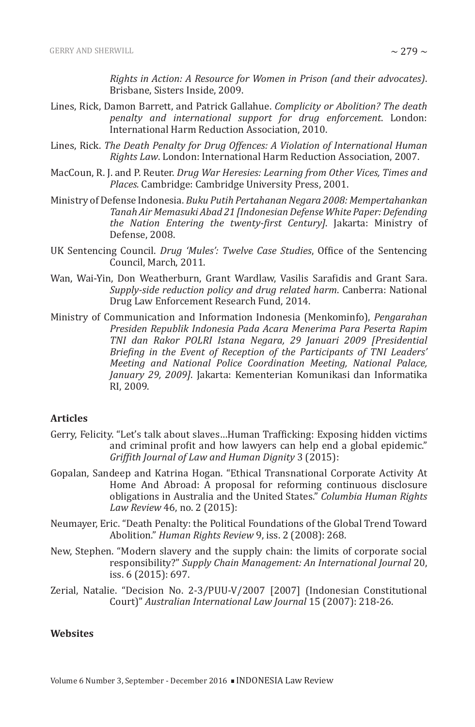*Rights in Action: A Resource for Women in Prison (and their advocates)*. Brisbane, Sisters Inside, 2009.

- Lines, Rick, Damon Barrett, and Patrick Gallahue. *Complicity or Abolition? The death penalty and international support for drug enforcement*. London: International Harm Reduction Association, 2010.
- Lines, Rick. *The Death Penalty for Drug Offences: A Violation of International Human Rights Law*. London: International Harm Reduction Association, 2007.
- MacCoun, R. J. and P. Reuter. *Drug War Heresies: Learning from Other Vices, Times and Places.* Cambridge: Cambridge University Press, 2001.
- Ministry of Defense Indonesia. *Buku Putih Pertahanan Negara 2008: Mempertahankan Tanah Air Memasuki Abad 21 [Indonesian Defense White Paper: Defending the Nation Entering the twenty-first Century]*. Jakarta: Ministry of Defense, 2008.
- UK Sentencing Council. *Drug 'Mules': Twelve Case Studies*, Office of the Sentencing Council, March, 2011.
- Wan, Wai-Yin, Don Weatherburn, Grant Wardlaw, Vasilis Sarafidis and Grant Sara. *Supply-side reduction policy and drug related harm*. Canberra: National Drug Law Enforcement Research Fund, 2014.
- Ministry of Communication and Information Indonesia (Menkominfo), *Pengarahan Presiden Republik Indonesia Pada Acara Menerima Para Peserta Rapim TNI dan Rakor POLRI Istana Negara, 29 Januari 2009 [Presidential Briefing in the Event of Reception of the Participants of TNI Leaders' Meeting and National Police Coordination Meeting, National Palace, January 29, 2009]*. Jakarta: Kementerian Komunikasi dan Informatika RI, 2009.

#### **Articles**

- Gerry, Felicity. "Let's talk about slaves…Human Trafficking: Exposing hidden victims and criminal profit and how lawyers can help end a global epidemic." *Griffith Journal of Law and Human Dignity* 3 (2015):
- Gopalan, Sandeep and Katrina Hogan. "Ethical Transnational Corporate Activity At Home And Abroad: A proposal for reforming continuous disclosure obligations in Australia and the United States." *Columbia Human Rights Law Review* 46, no. 2 (2015):
- Neumayer, Eric. "Death Penalty: the Political Foundations of the Global Trend Toward Abolition." *Human Rights Review* 9, iss. 2 (2008): 268.
- New, Stephen. "Modern slavery and the supply chain: the limits of corporate social responsibility?" *Supply Chain Management: An International Journal* 20, iss. 6 (2015): 697.
- Zerial, Natalie. "Decision No. 2-3/PUU-V/2007 [2007] (Indonesian Constitutional Court)" *Australian International Law Journal* 15 (2007): 218-26.

### **Websites**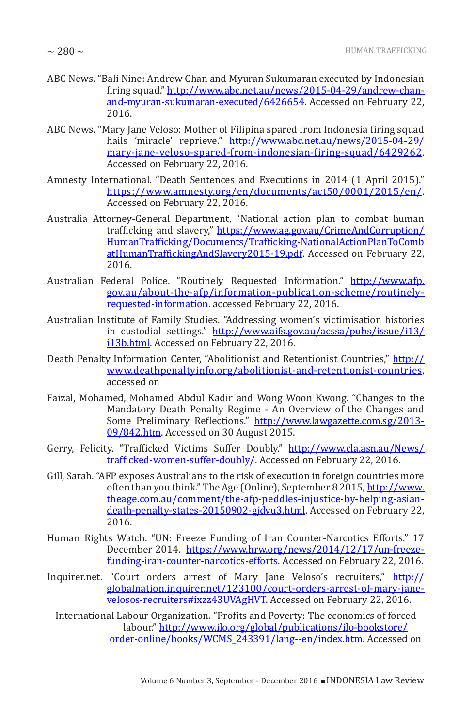- ABC News. "Bali Nine: Andrew Chan and Myuran Sukumaran executed by Indonesian firing squad." http://www.abc.net.au/news/2015-04-29/andrew-chanand-myuran-sukumaran-executed/6426654. Accessed on February 22, 2016.
- ABC News. "Mary Jane Veloso: Mother of Filipina spared from Indonesia firing squad hails 'miracle' reprieve." http://www.abc.net.au/news/2015-04-29/ mary-jane-veloso-spared-from-indonesian-firing-squad/6429262. Accessed on February 22, 2016.
- Amnesty International. "Death Sentences and Executions in 2014 (1 April 2015)." https://www.amnesty.org/en/documents/act50/0001/2015/en/. Accessed on February 22, 2016.
- Australia Attorney-General Department, "National action plan to combat human trafficking and slavery," https://www.ag.gov.au/CrimeAndCorruption/ HumanTrafficking/Documents/Trafficking-NationalActionPlanToComb atHumanTraffickingAndSlavery2015-19.pdf. Accessed on February 22, 2016.
- Australian Federal Police. "Routinely Requested Information." http://www.afp. gov.au/about-the-afp/information-publication-scheme/routinelyrequested-information. accessed February 22, 2016.
- Australian Institute of Family Studies. "Addressing women's victimisation histories in custodial settings." http://www.aifs.gov.au/acssa/pubs/issue/i13/ i<sub>13b.html</sub>. Accessed on February 22, 2016.
- Death Penalty Information Center, "Abolitionist and Retentionist Countries," http:// www.deathpenaltyinfo.org/abolitionist-and-retentionist-countries, accessed on
- Faizal, Mohamed, Mohamed Abdul Kadir and Wong Woon Kwong. "Changes to the Mandatory Death Penalty Regime - An Overview of the Changes and Some Preliminary Reflections." http://www.lawgazette.com.sg/2013- 09/842.htm. Accessed on 30 August 2015.
- Gerry, Felicity. "Trafficked Victims Suffer Doubly." http://www.cla.asn.au/News/ trafficked-women-suffer-doubly/. Accessed on February 22, 2016.
- Gill, Sarah. "AFP exposes Australians to the risk of execution in foreign countries more often than you think." The Age (Online), September 8 2015, http://www. theage.com.au/comment/the-afp-peddles-injustice-by-helping-asiandeath-penalty-states-20150902-gjdvu3.html. Accessed on February 22, 2016.
- Human Rights Watch. "UN: Freeze Funding of Iran Counter-Narcotics Efforts." 17 December 2014. https://www.hrw.org/news/2014/12/17/un-freezefunding-iran-counter-narcotics-efforts. Accessed on February 22, 2016.
- Inquirer.net. "Court orders arrest of Mary Jane Veloso's recruiters," http:// globalnation.inquirer.net/123100/court-orders-arrest-of-mary-janevelosos-recruiters#ixzz43UVAgHVT. Accessed on February 22, 2016.

International Labour Organization. "Profits and Poverty: The economics of forced labour." http://www.ilo.org/global/publications/ilo-bookstore/ order-online/books/WCMS\_243391/lang--en/index.htm. Accessed on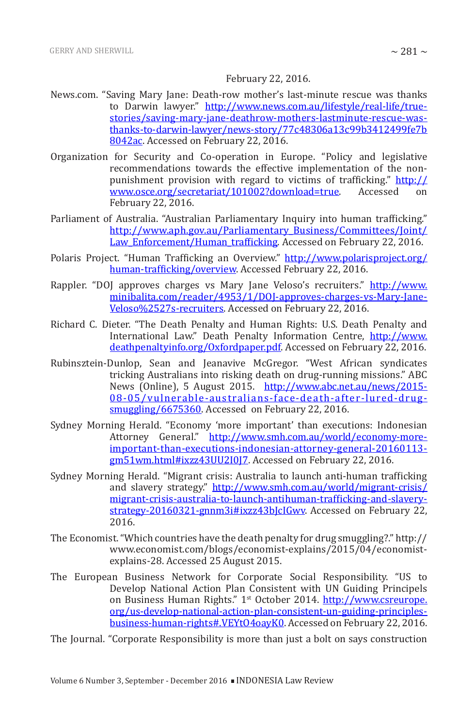## February 22, 2016.

- News.com. "Saving Mary Jane: Death-row mother's last-minute rescue was thanks to Darwin lawyer." http://www.news.com.au/lifestyle/real-life/truestories/saving-mary-jane-deathrow-mothers-lastminute-rescue-wasthanks-to-darwin-lawyer/news-story/77c48306a13c99b3412499fe7b 8042ac. Accessed on February 22, 2016.
- Organization for Security and Co-operation in Europe. "Policy and legislative recommendations towards the effective implementation of the nonpunishment provision with regard to victims of trafficking." http://<br>www.osce.org/secretariat/101002?download=true. Accessed on www.osce.org/secretariat/101002?download=true. February 22, 2016.
- Parliament of Australia. "Australian Parliamentary Inquiry into human trafficking." http://www.aph.gov.au/Parliamentary\_Business/Committees/Joint/ Law\_Enforcement/Human\_trafficking. Accessed on February 22, 2016.
- Polaris Project. "Human Trafficking an Overview." http://www.polarisproject.org/ human-trafficking/overview. Accessed February 22, 2016.
- Rappler. "DOJ approves charges vs Mary Jane Veloso's recruiters." http://www. minibalita.com/reader/4953/1/DOJ-approves-charges-vs-Mary-Jane-Veloso%2527s-recruiters. Accessed on February 22, 2016.
- Richard C. Dieter. "The Death Penalty and Human Rights: U.S. Death Penalty and International Law." Death Penalty Information Centre, http://www. deathpenaltyinfo.org/Oxfordpaper.pdf. Accessed on February 22, 2016.
- Rubinsztein-Dunlop, Sean and Jeanavive McGregor. "West African syndicates tricking Australians into risking death on drug-running missions." ABC News (Online), 5 August 2015. http://www.abc.net.au/news/2015- 08-05/vulnerable-australians-face-death-after-lured-drugsmuggling/6675360. Accessed on February 22, 2016.
- Sydney Morning Herald. "Economy 'more important' than executions: Indonesian Attorney General." http://www.smh.com.au/world/economy-moreimportant-than-executions-indonesian-attorney-general-20160113 gm51wm.html#ixzz43UU2I0J7. Accessed on February 22, 2016.
- Sydney Morning Herald. "Migrant crisis: Australia to launch anti-human trafficking and slavery strategy." http://www.smh.com.au/world/migrant-crisis/ migrant-crisis-australia-to-launch-antihuman-trafficking-and-slaverystrategy-20160321-gnnm3i#ixzz43bJcIGwy. Accessed on February 22, 2016.
- The Economist. "Which countries have the death penalty for drug smuggling?." http:// www.economist.com/blogs/economist-explains/2015/04/economistexplains-28. Accessed 25 August 2015.
- The European Business Network for Corporate Social Responsibility. "US to Develop National Action Plan Consistent with UN Guiding Principels on Business Human Rights." 1<sup>st</sup> October 2014. http://www.csreurope. org/us-develop-national-action-plan-consistent-un-guiding-principlesbusiness-human-rights#.VEYtO4oayK0. Accessed on February 22, 2016.
- The Journal. "Corporate Responsibility is more than just a bolt on says construction